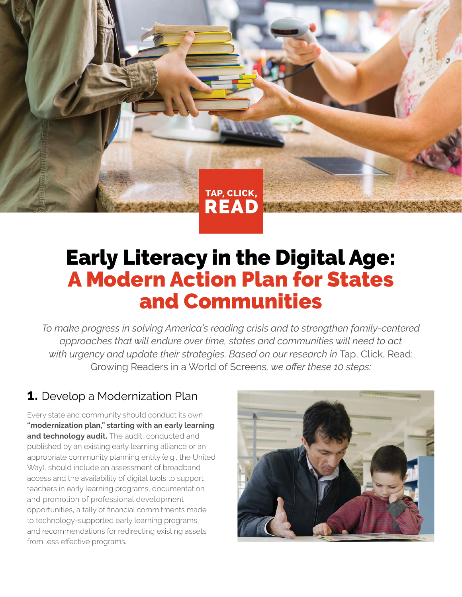# Early Literacy in the Digital Age: A Modern Action Plan for States and Communities

TAP, CLICK,

**READ** 

*To make progress in solving America's reading crisis and to strengthen family-centered approaches that will endure over time, states and communities will need to act*  with urgency and update their strategies. Based on our research in Tap, Click, Read: Growing Readers in a World of Screens*, we offer these 10 steps:* 

## **1.** Develop a Modernization Plan

Every state and community should conduct its own **"modernization plan," starting with an early learning and technology audit.** The audit, conducted and published by an existing early learning alliance or an appropriate community planning entity (e.g., the United Way), should include an assessment of broadband access and the availability of digital tools to support teachers in early learning programs, documentation and promotion of professional development opportunities, a tally of financial commitments made to technology-supported early learning programs, and recommendations for redirecting existing assets from less effective programs.

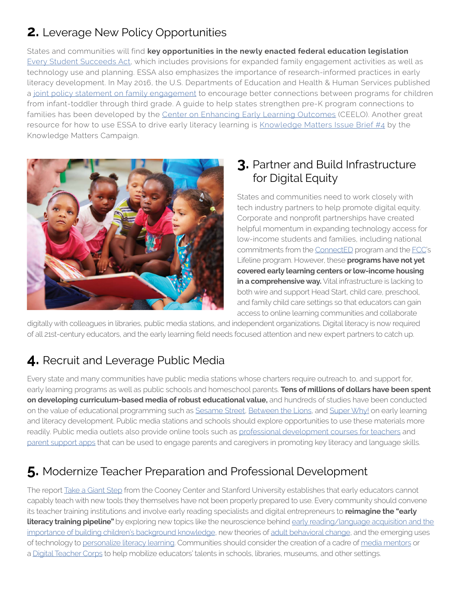# **2.** Leverage New Policy Opportunities

States and communities will find **key opportunities in the newly enacted federal education legislation**  [Every Student Succeeds Act](http://www.ed.gov/essa?src=rn), which includes provisions for expanded family engagement activities as well as technology use and planning. ESSA also emphasizes the importance of research-informed practices in early literacy development. In May 2016, the U.S. Departments of Education and Health & Human Services published a [joint policy statement on family engagement](http://www2.ed.gov/about/inits/ed/earlylearning/families.html) to encourage better connections between programs for children from infant-toddler through third grade. A guide to help states strengthen pre-K program connections to families has been developed by the [Center on Enhancing Early Learning Outcomes](http://ceelo.org/wp-content/uploads/2016/03/ceelo_policy_brief_family_engagement_2016_03_final_web.pdf) (CEELO). Another great resource for how to use ESSA to drive early literacy learning is [Knowledge Matters Issue Brief #4](http://knowledgematterscampaign.org/wp-content/uploads/2016/05/ESSA-brief.pdf) by the Knowledge Matters Campaign.



### **3.** Partner and Build Infrastructure for Digital Equity

States and communities need to work closely with tech industry partners to help promote digital equity. Corporate and nonprofit partnerships have created helpful momentum in expanding technology access for low-income students and families, including national commitments from the [ConnectED](https://www.whitehouse.gov/issues/education/k-12/connected) program and the [FCC](https://www.fcc.gov/consumers/guides/lifeline-support-affordable-communications)'s Lifeline program. However, these **programs have not yet covered early learning centers or low-income housing in a comprehensive way.** Vital infrastructure is lacking to both wire and support Head Start, child care, preschool, and family child care settings so that educators can gain access to online learning communities and collaborate

digitally with colleagues in libraries, public media stations, and independent organizations. Digital literacy is now required of all 21st-century educators, and the early learning field needs focused attention and new expert partners to catch up.

# **4.** Recruit and Leverage Public Media

Every state and many communities have public media stations whose charters require outreach to, and support for, early learning programs as well as public schools and homeschool parents. **Tens of millions of dollars have been spent on developing curriculum-based media of robust educational value,** and hundreds of studies have been conducted on the value of educational programming such as [Sesame Street,](http://www.sesameworkshop.org/what-we-do/our-results/) [Between the Lions,](http://pbskids.org/island/research/previous.html) and [Super Why!](http://www-tc.pbskids.org/read/files/Web_Statement_EDC_Research.pdf) on early learning and literacy development. Public media stations and schools should explore opportunities to use these materials more readily. Public media outlets also provide online tools such as [professional development courses for teachers](http://www.pbslearningmedia.org/) and [parent support apps](http://pbskids.org/apps/pbs-parents-play--learn.html) that can be used to engage parents and caregivers in promoting key literacy and language skills.

# **5.** Modernize Teacher Preparation and Professional Development

The report [Take a Giant Step](http://www.joanganzcooneycenter.org/publication/take-a-giant-step-a-blueprint-for-teaching-young-children-in-a-digital-age/) from the Cooney Center and Stanford University establishes that early educators cannot capably teach with new tools they themselves have not been properly prepared to use. Every community should convene its teacher training institutions and involve early reading specialists and digital entrepreneurs to **reimagine the "early literacy training pipeline"** by exploring new topics like the neuroscience behind early reading/language acquisition and the [importance of building children's background knowledge](http://www.life-slc.org/docs/Kuhl-brainmechanisms2010.pdf), new theories of [adult behavioral change](https://alumniandfriends.uchicago.edu/sites/default/files/nber_w21602.pdf), and the emerging uses of technology to [personalize literacy learning](http://gettingsmart.com/2015/09/leading-personalized-learning-literacy-tools/). Communities should consider the creation of a cadre of [media mentors](http://www.ala.org/alsc/mediamentorship) or a [Digital Teacher Corps](http://www.progressivepolicy.org/issues/education/policy-brief-the-digital-teachers-corps-closing-america%E2%80%99s-literacy-gap/) to help mobilize educators' talents in schools, libraries, museums, and other settings.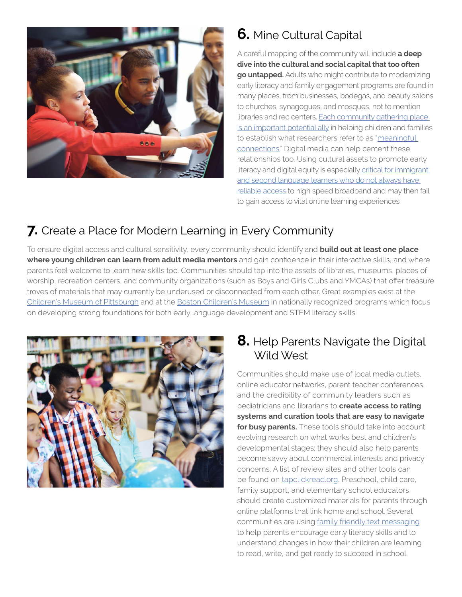

# **6.** Mine Cultural Capital

A careful mapping of the community will include **a deep dive into the cultural and social capital that too often go untapped.** Adults who might contribute to modernizing early literacy and family engagement programs are found in many places, from businesses, bodegas, and beauty salons to churches, synagogues, and mosques, not to mention libraries and rec centers. [Each community gathering place](http://www.joanganzcooneycenter.org/publication/connecting-to-learn-promoting-digital-equity-for-americas-hispanic-families/)  [is an important potential ally](http://www.joanganzcooneycenter.org/publication/connecting-to-learn-promoting-digital-equity-for-americas-hispanic-families/) in helping children and families to establish what researchers refer to as ["meaningful](http://digitalequityforlearning.org/wp-content/uploads/2015/12/2015-Katz-Levine_Connecting-to-Learn-brief.pdf)  [connections](http://digitalequityforlearning.org/wp-content/uploads/2015/12/2015-Katz-Levine_Connecting-to-Learn-brief.pdf)." Digital media can help cement these relationships too. Using cultural assets to promote early literacy and digital equity is especially critical for immigrant [and second language learners who do not always have](http://www.joanganzcooneycenter.org/wp-content/uploads/2016/01/jgcc_opportunityforall.pdf)  [reliable access](http://www.joanganzcooneycenter.org/wp-content/uploads/2016/01/jgcc_opportunityforall.pdf) to high speed broadband and may then fail to gain access to vital online learning experiences.

## **7.** Create a Place for Modern Learning in Every Community

To ensure digital access and cultural sensitivity, every community should identify and **build out at least one place where young children can learn from adult media mentors** and gain confidence in their interactive skills, and where parents feel welcome to learn new skills too. Communities should tap into the assets of libraries, museums, places of worship, recreation centers, and community organizations (such as Boys and Girls Clubs and YMCAs) that offer treasure troves of materials that may currently be underused or disconnected from each other. Great examples exist at the [Children's Museum of Pittsburgh](https://pittsburghkids.org/exhibits/makeshop/making-makeshop) and at the [Boston Children's Museum](http://www.bostonchildrensmuseum.org/stem-sprouts) in nationally recognized programs which focus on developing strong foundations for both early language development and STEM literacy skills.



#### **8.** Help Parents Navigate the Digital Wild West

Communities should make use of local media outlets, online educator networks, parent teacher conferences, and the credibility of community leaders such as pediatricians and librarians to **create access to rating systems and curation tools that are easy to navigate for busy parents.** These tools should take into account evolving research on what works best and children's developmental stages; they should also help parents become savvy about commercial interests and privacy concerns. A list of review sites and other tools can be found on [tapclickread.org](http://tapclickread.org). Preschool, child care, family support, and elementary school educators should create customized materials for parents through online platforms that link home and school. Several communities are using [family friendly text messaging](https://www.newamerica.org/education-policy/edcentral/ready-4k/) to help parents encourage early literacy skills and to understand changes in how their children are learning to read, write, and get ready to succeed in school.